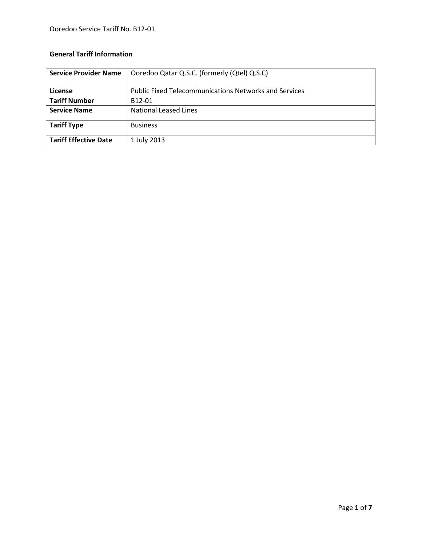# **General Tariff Information**

| <b>Service Provider Name</b> | Ooredoo Qatar Q.S.C. (formerly (Qtel) Q.S.C)                 |  |  |  |
|------------------------------|--------------------------------------------------------------|--|--|--|
|                              |                                                              |  |  |  |
| License                      | <b>Public Fixed Telecommunications Networks and Services</b> |  |  |  |
| <b>Tariff Number</b>         | B12-01                                                       |  |  |  |
| <b>Service Name</b>          | National Leased Lines                                        |  |  |  |
| <b>Tariff Type</b>           | <b>Business</b>                                              |  |  |  |
| <b>Tariff Effective Date</b> | 1 July 2013                                                  |  |  |  |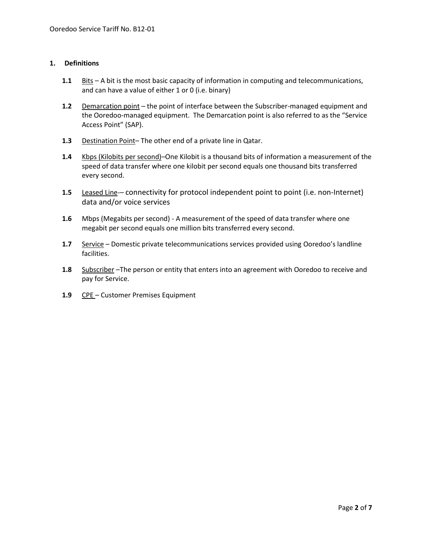# **1. Definitions**

- **1.1** Bits A bit is the most basic capacity of information in computing and telecommunications, and can have a value of either 1 or 0 (i.e. binary)
- 1.2 Demarcation point the point of interface between the Subscriber-managed equipment and the Ooredoo-managed equipment. The Demarcation point is also referred to as the "Service Access Point" (SAP).
- **1.3** Destination Point– The other end of a private line in Qatar.
- **1.4** Kbps (Kilobits per second)–One Kilobit is a thousand bits of information a measurement of the speed of data transfer where one kilobit per second equals one thousand bits transferred every second.
- **1.5** Leased Line-– connectivity for protocol independent point to point (i.e. non-Internet) data and/or voice services
- **1.6** Mbps (Megabits per second) A measurement of the speed of data transfer where one megabit per second equals one million bits transferred every second.
- **1.7** Service Domestic private telecommunications services provided using Ooredoo's landline facilities.
- **1.8** Subscriber –The person or entity that enters into an agreement with Ooredoo to receive and pay for Service.
- **1.9** CPE Customer Premises Equipment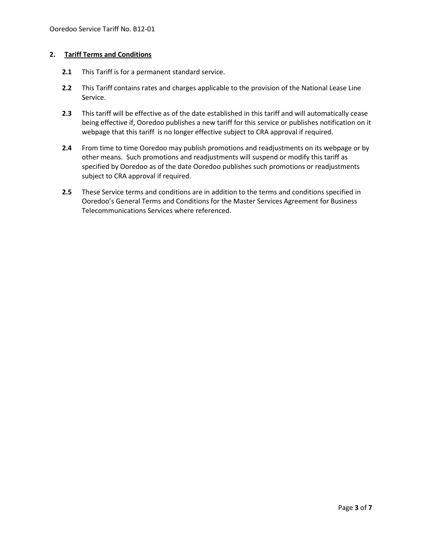# **2. Tariff Terms and Conditions**

- **2.1** This Tariff is for a permanent standard service.
- **2.2** This Tariff contains rates and charges applicable to the provision of the National Lease Line Service.
- **2.3** This tariff will be effective as of the date established in this tariff and will automatically cease being effective if, Ooredoo publishes a new tariff for this service or publishes notification on it webpage that this tariff is no longer effective subject to CRA approval if required.
- **2.4** From time to time Ooredoo may publish promotions and readjustments on its webpage or by other means. Such promotions and readjustments will suspend or modify this tariff as specified by Ooredoo as of the date Ooredoo publishes such promotions or readjustments subject to CRA approval if required.
- **2.5** These Service terms and conditions are in addition to the terms and conditions specified in Ooredoo's General Terms and Conditions for the Master Services Agreement for Business Telecommunications Services where referenced.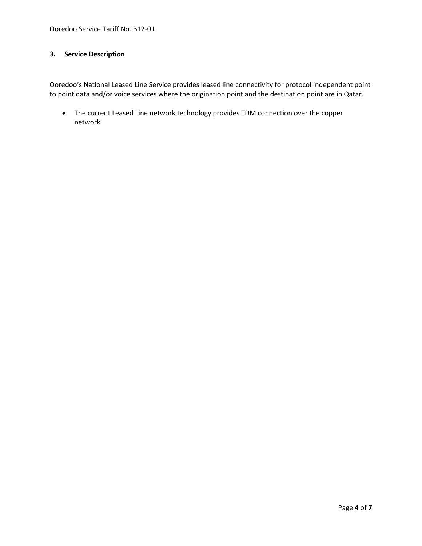# **3. Service Description**

Ooredoo's National Leased Line Service provides leased line connectivity for protocol independent point to point data and/or voice services where the origination point and the destination point are in Qatar.

 The current Leased Line network technology provides TDM connection over the copper network.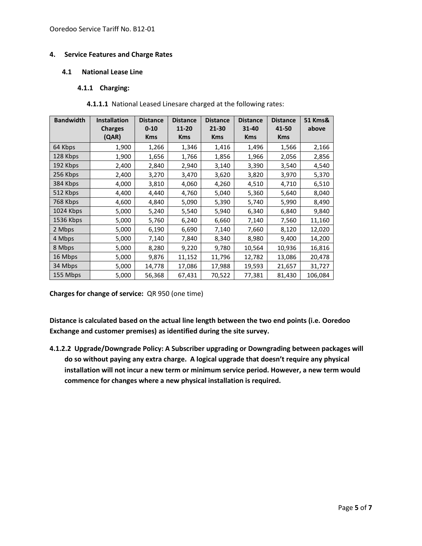# **4. Service Features and Charge Rates**

## **4.1 National Lease Line**

# **4.1.1 Charging:**

# **4.1.1.1** National Leased Linesare charged at the following rates:

| <b>Bandwidth</b> | <b>Installation</b><br><b>Charges</b> | <b>Distance</b><br>$0 - 10$ | <b>Distance</b><br>11-20 | <b>Distance</b><br>21-30 | <b>Distance</b><br>$31 - 40$ | <b>Distance</b><br>41-50 | 51 Kms&<br>above |
|------------------|---------------------------------------|-----------------------------|--------------------------|--------------------------|------------------------------|--------------------------|------------------|
|                  | (QAR)                                 | <b>Kms</b>                  | <b>Kms</b>               | <b>Kms</b>               | <b>Kms</b>                   | <b>Kms</b>               |                  |
| 64 Kbps          | 1,900                                 | 1,266                       | 1,346                    | 1,416                    | 1,496                        | 1,566                    | 2,166            |
| 128 Kbps         | 1,900                                 | 1,656                       | 1,766                    | 1,856                    | 1,966                        | 2,056                    | 2,856            |
| 192 Kbps         | 2,400                                 | 2,840                       | 2,940                    | 3,140                    | 3,390                        | 3,540                    | 4,540            |
| 256 Kbps         | 2,400                                 | 3,270                       | 3,470                    | 3,620                    | 3,820                        | 3,970                    | 5,370            |
| 384 Kbps         | 4,000                                 | 3,810                       | 4,060                    | 4,260                    | 4,510                        | 4,710                    | 6,510            |
| 512 Kbps         | 4,400                                 | 4,440                       | 4,760                    | 5,040                    | 5,360                        | 5,640                    | 8,040            |
| 768 Kbps         | 4,600                                 | 4,840                       | 5,090                    | 5,390                    | 5,740                        | 5,990                    | 8,490            |
| 1024 Kbps        | 5,000                                 | 5,240                       | 5,540                    | 5,940                    | 6,340                        | 6,840                    | 9,840            |
| 1536 Kbps        | 5,000                                 | 5,760                       | 6,240                    | 6,660                    | 7,140                        | 7,560                    | 11,160           |
| 2 Mbps           | 5,000                                 | 6,190                       | 6,690                    | 7,140                    | 7,660                        | 8,120                    | 12,020           |
| 4 Mbps           | 5,000                                 | 7,140                       | 7,840                    | 8,340                    | 8,980                        | 9,400                    | 14,200           |
| 8 Mbps           | 5,000                                 | 8,280                       | 9,220                    | 9,780                    | 10,564                       | 10,936                   | 16,816           |
| 16 Mbps          | 5,000                                 | 9,876                       | 11,152                   | 11,796                   | 12,782                       | 13,086                   | 20,478           |
| 34 Mbps          | 5,000                                 | 14,778                      | 17,086                   | 17,988                   | 19,593                       | 21,657                   | 31,727           |
| 155 Mbps         | 5,000                                 | 56,368                      | 67,431                   | 70,522                   | 77,381                       | 81,430                   | 106,084          |

**Charges for change of service:** QR 950 (one time)

**Distance is calculated based on the actual line length between the two end points (i.e. Ooredoo Exchange and customer premises) as identified during the site survey.**

**4.1.2.2 Upgrade/Downgrade Policy: A Subscriber upgrading or Downgrading between packages will do so without paying any extra charge. A logical upgrade that doesn't require any physical installation will not incur a new term or minimum service period. However, a new term would commence for changes where a new physical installation is required.**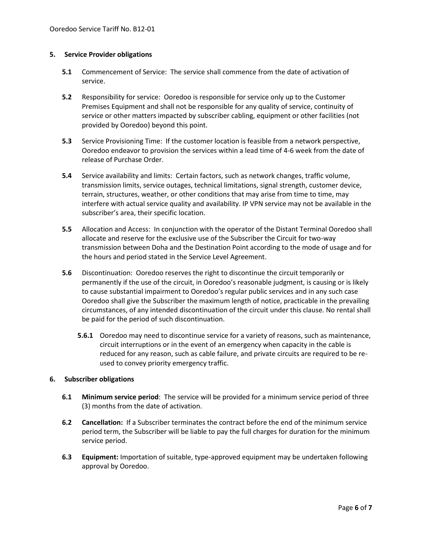#### **5. Service Provider obligations**

- **5.1** Commencement of Service: The service shall commence from the date of activation of service.
- **5.2** Responsibility for service: Ooredoo is responsible for service only up to the Customer Premises Equipment and shall not be responsible for any quality of service, continuity of service or other matters impacted by subscriber cabling, equipment or other facilities (not provided by Ooredoo) beyond this point.
- **5.3** Service Provisioning Time: If the customer location is feasible from a network perspective, Ooredoo endeavor to provision the services within a lead time of 4-6 week from the date of release of Purchase Order.
- **5.4** Service availability and limits: Certain factors, such as network changes, traffic volume, transmission limits, service outages, technical limitations, signal strength, customer device, terrain, structures, weather, or other conditions that may arise from time to time, may interfere with actual service quality and availability. IP VPN service may not be available in the subscriber's area, their specific location.
- **5.5** Allocation and Access: In conjunction with the operator of the Distant Terminal Ooredoo shall allocate and reserve for the exclusive use of the Subscriber the Circuit for two-way transmission between Doha and the Destination Point according to the mode of usage and for the hours and period stated in the Service Level Agreement.
- **5.6** Discontinuation: Ooredoo reserves the right to discontinue the circuit temporarily or permanently if the use of the circuit, in Ooredoo's reasonable judgment, is causing or is likely to cause substantial impairment to Ooredoo's regular public services and in any such case Ooredoo shall give the Subscriber the maximum length of notice, practicable in the prevailing circumstances, of any intended discontinuation of the circuit under this clause. No rental shall be paid for the period of such discontinuation.
	- **5.6.1** Ooredoo may need to discontinue service for a variety of reasons, such as maintenance, circuit interruptions or in the event of an emergency when capacity in the cable is reduced for any reason, such as cable failure, and private circuits are required to be reused to convey priority emergency traffic.

#### **6. Subscriber obligations**

- **6.1 Minimum service period**: The service will be provided for a minimum service period of three (3) months from the date of activation.
- **6.2 Cancellation:** If a Subscriber terminates the contract before the end of the minimum service period term, the Subscriber will be liable to pay the full charges for duration for the minimum service period.
- **6.3 Equipment:** Importation of suitable, type-approved equipment may be undertaken following approval by Ooredoo.